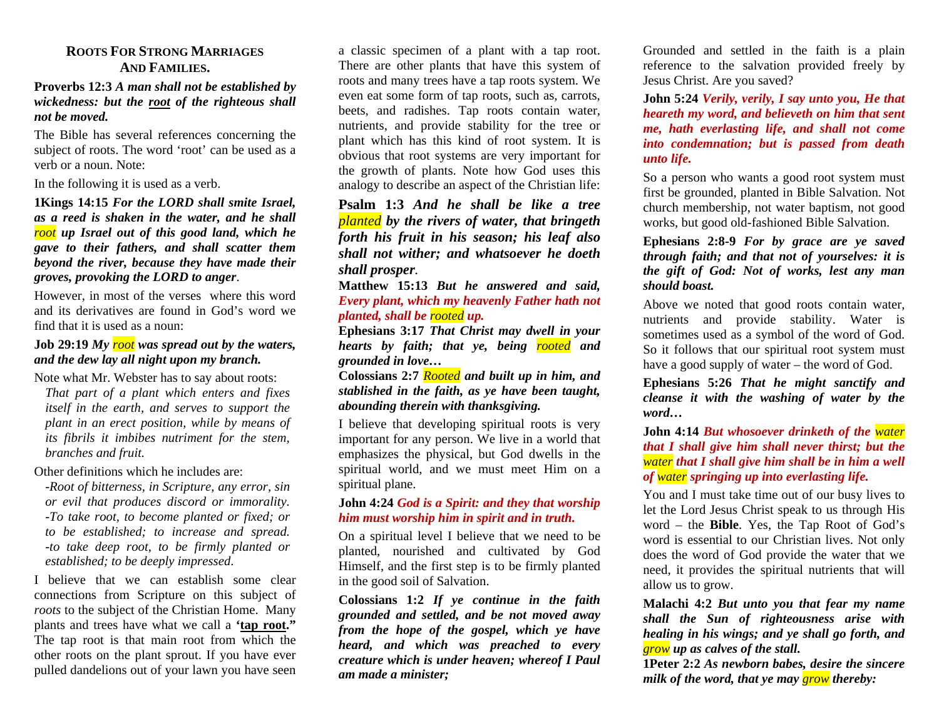### **ROOTS FOR STRONG MARRIAGESAND FAMILIES.**

#### **Proverbs 12:3** *A man shall not be established by wickedness: but the root of the righteous shall not be moved.*

The Bible has several references concerning the subject of roots. The word 'root' can be used as a verb or a noun. Note:

In the following it is used as a verb.

**1Kings 14:15** *For the LORD shall smite Israel, as a reed is shaken in the water, and he shall root up Israel out of this good land, which he gave to their fathers, and shall scatter them beyond the river, because they have made their groves, provoking the LORD to anger*.

However, in most of the verses where this word and its derivatives are found in God's word we find that it is used as a noun:

### **Job 29:19** *My root was spread out by the waters, and the dew lay all night upon my branch.*

Note what Mr. Webster has to say about roots: *That part of a plant which enters and fixes itself in the earth, and serves to support the plant in an erect position, while by means of its fibrils it imbibes nutriment for the stem, branches and fruit.* 

Other definitions which he includes are:

*-Root of bitterness, in Scripture, any error, sin or evil that produces discord or immorality. -To take root, to become planted or fixed; or to be established; to increase and spread. -to take deep root, to be firmly planted or established; to be deeply impressed*.

I believe that we can establish some clear connections from Scripture on this subject of *roots* to the subject of the Christian Home. Many plants and trees have what we call a **'tap root."** The tap root is that main root from which the other roots on the plant sprout. If you have ever pulled dandelions out of your lawn you have seen

a classic specimen of a plant with a tap root. There are other plants that have this system of roots and many trees have a tap roots system. We even eat some form of tap roots, such as, carrots, beets, and radishes. Tap roots contain water, nutrients, and provide stability for the tree or plant which has this kind of root system. It is obvious that root systems are very important for the growth of plants. Note how God uses this analogy to describe an aspect of the Christian life:

**Psalm 1:3** *And he shall be like a tree planted by the rivers of water, that bringeth forth his fruit in his season; his leaf also shall not wither; and whatsoever he doeth shall prosper.*

**Matthew 15:13** *But he answered and said, Every plant, which my heavenly Father hath not planted, shall be rooted up.*

**Ephesians 3:17** *That Christ may dwell in your hearts by faith; that ye, being rooted and grounded in love…* 

**Colossians 2:7** *Rooted and built up in him, and stablished in the faith, as ye have been taught, abounding therein with thanksgiving.*

I believe that developing spiritual roots is very important for any person. We live in a world that emphasizes the physical, but God dwells in the spiritual world, and we must meet Him on a spiritual plane.

#### **John 4:24** *God is a Spirit: and they that worship him must worship him in spirit and in truth.*

On a spiritual level I believe that we need to be planted, nourished and cultivated by God Himself, and the first step is to be firmly planted in the good soil of Salvation.

**Colossians 1:2** *If ye continue in the faith grounded and settled, and be not moved away from the hope of the gospel, which ye have heard, and which was preached to every creature which is under heaven; whereof I Paul am made a minister;*

Grounded and settled in the faith is a plain reference to the salvation provided freely by Jesus Christ. Are you saved?

**John 5:24** *Verily, verily, I say unto you, He that heareth my word, and believeth on him that sent me, hath everlasting life, and shall not come into condemnation; but is passed from death unto life.*

So a person who wants a good root system must first be grounded, planted in Bible Salvation. Not church membership, not water baptism, not good works, but good old-fashioned Bible Salvation.

**Ephesians 2:8-9** *For by grace are ye saved through faith; and that not of yourselves: it is the gift of God: Not of works, lest any man should boast.* 

Above we noted that good roots contain water, nutrients and provide stability. Water is sometimes used as a symbol of the word of God. So it follows that our spiritual root system must have a good supply of water – the word of God.

**Ephesians 5:26** *That he might sanctify and cleanse it with the washing of water by the word…* 

**John 4:14** *But whosoever drinketh of the water that I shall give him shall never thirst; but the water that I shall give him shall be in him a well of water springing up into everlasting life.*

You and I must take time out of our busy lives to let the Lord Jesus Christ speak to us through His word – the **Bible**. Yes, the Tap Root of God's word is essential to our Christian lives. Not only does the word of God provide the water that we need, it provides the spiritual nutrients that will allow us to grow.

**Malachi 4:2** *But unto you that fear my name shall the Sun of righteousness arise with healing in his wings; and ye shall go forth, and grow up as calves of the stall.*

**1Peter 2:2** *As newborn babes, desire the sincere milk of the word, that ye may grow thereby:*